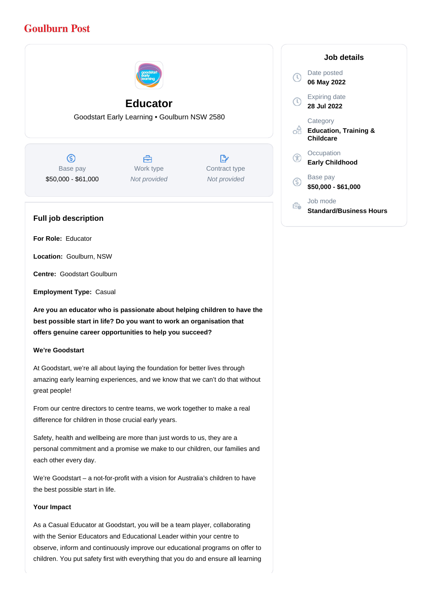# **Goulburn Post**



## **Educator**

Goodstart Early Learning • Goulburn NSW 2580

 $\circledS$ Base pay \$50,000 - \$61,000

A Work type Not provided

 $\mathbb{R}^{\cdot}$ Contract type Not provided

### **Full job description**

**For Role:** Educator

**Location:** Goulburn, NSW

**Centre:** Goodstart Goulburn

**Employment Type:** Casual

**Are you an educator who is passionate about helping children to have the best possible start in life? Do you want to work an organisation that offers genuine career opportunities to help you succeed?**

### **We're Goodstart**

At Goodstart, we're all about laying the foundation for better lives through amazing early learning experiences, and we know that we can't do that without great people!

From our centre directors to centre teams, we work together to make a real difference for children in those crucial early years.

Safety, health and wellbeing are more than just words to us, they are a personal commitment and a promise we make to our children, our families and each other every day.

We're Goodstart – a not-for-profit with a vision for Australia's children to have the best possible start in life.

### **Your Impact**

As a Casual Educator at Goodstart, you will be a team player, collaborating with the Senior Educators and Educational Leader within your centre to observe, inform and continuously improve our educational programs on offer to children. You put safety first with everything that you do and ensure all learning

### **Job details** Date posted Œ **06 May 2022** Expiring date **28 Jul 2022 Category** o₩ **Education, Training & Childcare Occupation Early Childhood** Base pay <sub>(S)</sub> **\$50,000 - \$61,000** Job mode Ê. **Standard/Business Hours**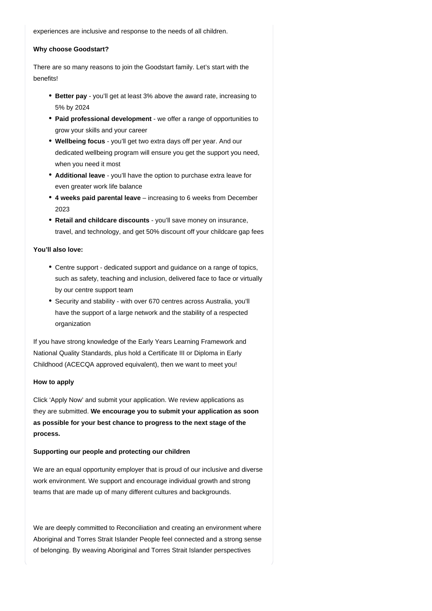experiences are inclusive and response to the needs of all children.

### **Why choose Goodstart?**

There are so many reasons to join the Goodstart family. Let's start with the benefits!

- **Better pay** you'll get at least 3% above the award rate, increasing to 5% by 2024
- **Paid professional development** we offer a range of opportunities to grow your skills and your career
- **Wellbeing focus** you'll get two extra days off per year. And our dedicated wellbeing program will ensure you get the support you need, when you need it most
- Additional leave you'll have the option to purchase extra leave for even greater work life balance
- 4 weeks paid parental leave increasing to 6 weeks from December 2023
- Retail and childcare discounts you'll save money on insurance, travel, and technology, and get 50% discount off your childcare gap fees

### **You'll also love:**

- Centre support dedicated support and guidance on a range of topics, such as safety, teaching and inclusion, delivered face to face or virtually by our centre support team
- Security and stability with over 670 centres across Australia, you'll have the support of a large network and the stability of a respected organization

If you have strong knowledge of the Early Years Learning Framework and National Quality Standards, plus hold a Certificate III or Diploma in Early Childhood (ACECQA approved equivalent), then we want to meet you!

#### **How to apply**

Click 'Apply Now' and submit your application. We review applications as they are submitted. **We encourage you to submit your application as soon as possible for your best chance to progress to the next stage of the process.**

### **Supporting our people and protecting our children**

We are an equal opportunity employer that is proud of our inclusive and diverse work environment. We support and encourage individual growth and strong teams that are made up of many different cultures and backgrounds.

We are deeply committed to Reconciliation and creating an environment where Aboriginal and Torres Strait Islander People feel connected and a strong sense of belonging. By weaving Aboriginal and Torres Strait Islander perspectives